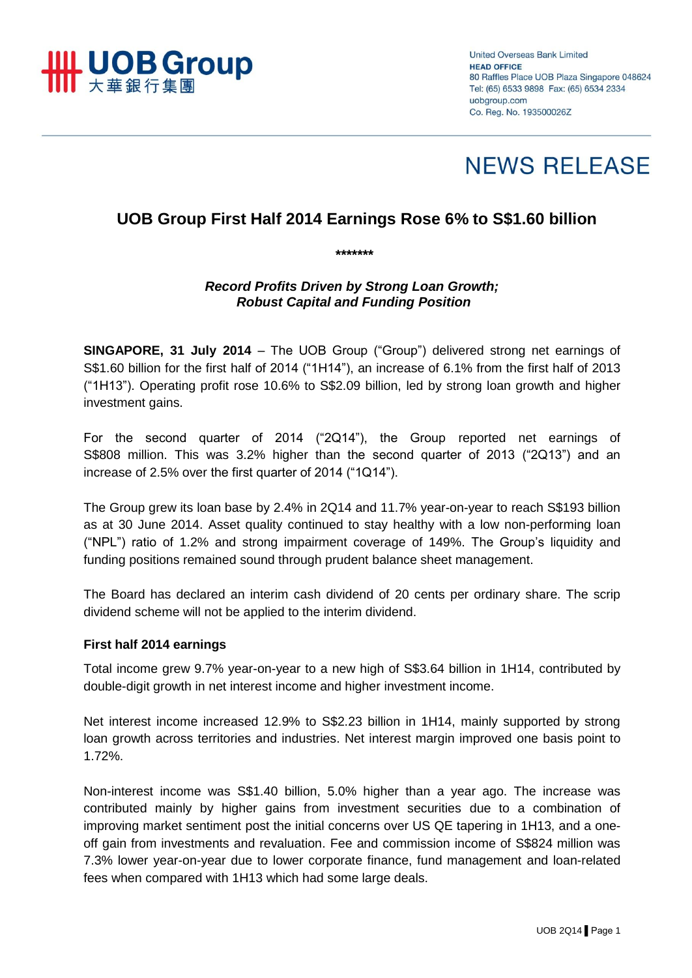

**United Overseas Bank Limited HEAD OFFICE** 80 Raffles Place UOB Plaza Singapore 048624 Tel: (65) 6533 9898 Fax: (65) 6534 2334 uobaroup.com Co. Reg. No. 193500026Z

# **NEWS RELEASE**

# **UOB Group First Half 2014 Earnings Rose 6% to S\$1.60 billion**

*Record Profits Driven by Strong Loan Growth; Robust Capital and Funding Position* 

*\*\*\*\*\*\*\**

**SINGAPORE, 31 July 2014** – The UOB Group ("Group") delivered strong net earnings of S\$1.60 billion for the first half of 2014 ("1H14"), an increase of 6.1% from the first half of 2013 ("1H13"). Operating profit rose 10.6% to S\$2.09 billion, led by strong loan growth and higher investment gains.

For the second quarter of 2014 ("2Q14"), the Group reported net earnings of S\$808 million. This was 3.2% higher than the second quarter of 2013 ("2Q13") and an increase of 2.5% over the first quarter of 2014 ("1Q14").

The Group grew its loan base by 2.4% in 2Q14 and 11.7% year-on-year to reach S\$193 billion as at 30 June 2014. Asset quality continued to stay healthy with a low non-performing loan ("NPL") ratio of 1.2% and strong impairment coverage of 149%. The Group's liquidity and funding positions remained sound through prudent balance sheet management.

The Board has declared an interim cash dividend of 20 cents per ordinary share. The scrip dividend scheme will not be applied to the interim dividend.

#### **First half 2014 earnings**

Total income grew 9.7% year-on-year to a new high of S\$3.64 billion in 1H14, contributed by double-digit growth in net interest income and higher investment income.

Net interest income increased 12.9% to S\$2.23 billion in 1H14, mainly supported by strong loan growth across territories and industries. Net interest margin improved one basis point to 1.72%.

Non-interest income was S\$1.40 billion, 5.0% higher than a year ago. The increase was contributed mainly by higher gains from investment securities due to a combination of improving market sentiment post the initial concerns over US QE tapering in 1H13, and a oneoff gain from investments and revaluation. Fee and commission income of S\$824 million was 7.3% lower year-on-year due to lower corporate finance, fund management and loan-related fees when compared with 1H13 which had some large deals.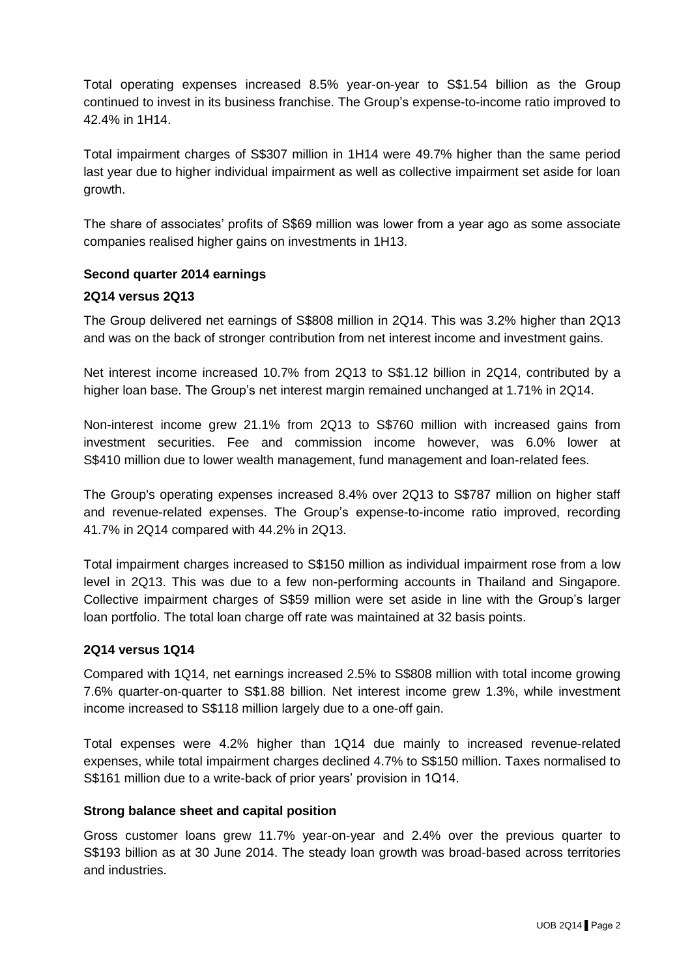Total operating expenses increased 8.5% year-on-year to S\$1.54 billion as the Group continued to invest in its business franchise. The Group's expense-to-income ratio improved to 42.4% in 1H14.

Total impairment charges of S\$307 million in 1H14 were 49.7% higher than the same period last year due to higher individual impairment as well as collective impairment set aside for loan growth.

The share of associates' profits of S\$69 million was lower from a year ago as some associate companies realised higher gains on investments in 1H13.

#### **Second quarter 2014 earnings**

#### **2Q14 versus 2Q13**

The Group delivered net earnings of S\$808 million in 2Q14. This was 3.2% higher than 2Q13 and was on the back of stronger contribution from net interest income and investment gains.

Net interest income increased 10.7% from 2Q13 to S\$1.12 billion in 2Q14, contributed by a higher loan base. The Group's net interest margin remained unchanged at 1.71% in 2Q14.

Non-interest income grew 21.1% from 2Q13 to S\$760 million with increased gains from investment securities. Fee and commission income however, was 6.0% lower at S\$410 million due to lower wealth management, fund management and loan-related fees.

The Group's operating expenses increased 8.4% over 2Q13 to S\$787 million on higher staff and revenue-related expenses. The Group's expense-to-income ratio improved, recording 41.7% in 2Q14 compared with 44.2% in 2Q13.

Total impairment charges increased to S\$150 million as individual impairment rose from a low level in 2Q13. This was due to a few non-performing accounts in Thailand and Singapore. Collective impairment charges of S\$59 million were set aside in line with the Group's larger loan portfolio. The total loan charge off rate was maintained at 32 basis points.

## **2Q14 versus 1Q14**

Compared with 1Q14, net earnings increased 2.5% to S\$808 million with total income growing 7.6% quarter-on-quarter to S\$1.88 billion. Net interest income grew 1.3%, while investment income increased to S\$118 million largely due to a one-off gain.

Total expenses were 4.2% higher than 1Q14 due mainly to increased revenue-related expenses, while total impairment charges declined 4.7% to S\$150 million. Taxes normalised to S\$161 million due to a write-back of prior years' provision in 1Q14.

#### **Strong balance sheet and capital position**

Gross customer loans grew 11.7% year-on-year and 2.4% over the previous quarter to S\$193 billion as at 30 June 2014. The steady loan growth was broad-based across territories and industries.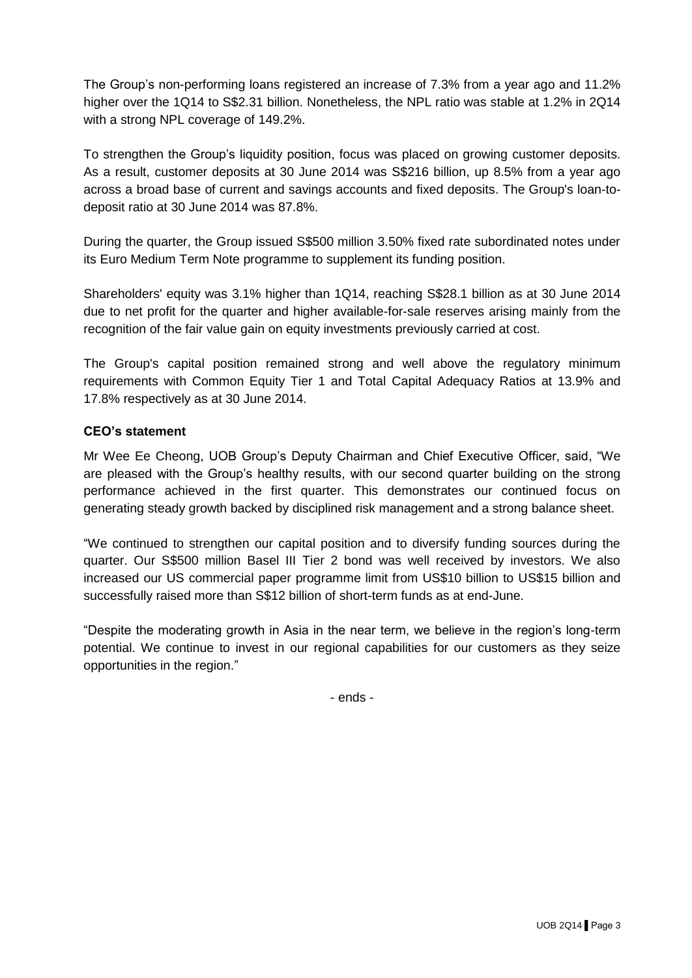The Group's non-performing loans registered an increase of 7.3% from a year ago and 11.2% higher over the 1Q14 to S\$2.31 billion. Nonetheless, the NPL ratio was stable at 1.2% in 2Q14 with a strong NPL coverage of 149.2%.

To strengthen the Group's liquidity position, focus was placed on growing customer deposits. As a result, customer deposits at 30 June 2014 was S\$216 billion, up 8.5% from a year ago across a broad base of current and savings accounts and fixed deposits. The Group's loan-todeposit ratio at 30 June 2014 was 87.8%.

During the quarter, the Group issued S\$500 million 3.50% fixed rate subordinated notes under its Euro Medium Term Note programme to supplement its funding position.

Shareholders' equity was 3.1% higher than 1Q14, reaching S\$28.1 billion as at 30 June 2014 due to net profit for the quarter and higher available-for-sale reserves arising mainly from the recognition of the fair value gain on equity investments previously carried at cost.

The Group's capital position remained strong and well above the regulatory minimum requirements with Common Equity Tier 1 and Total Capital Adequacy Ratios at 13.9% and 17.8% respectively as at 30 June 2014.

## **CEO's statement**

Mr Wee Ee Cheong, UOB Group's Deputy Chairman and Chief Executive Officer, said, "We are pleased with the Group's healthy results, with our second quarter building on the strong performance achieved in the first quarter. This demonstrates our continued focus on generating steady growth backed by disciplined risk management and a strong balance sheet.

"We continued to strengthen our capital position and to diversify funding sources during the quarter. Our S\$500 million Basel III Tier 2 bond was well received by investors. We also increased our US commercial paper programme limit from US\$10 billion to US\$15 billion and successfully raised more than S\$12 billion of short-term funds as at end-June.

"Despite the moderating growth in Asia in the near term, we believe in the region's long-term potential. We continue to invest in our regional capabilities for our customers as they seize opportunities in the region."

- ends -